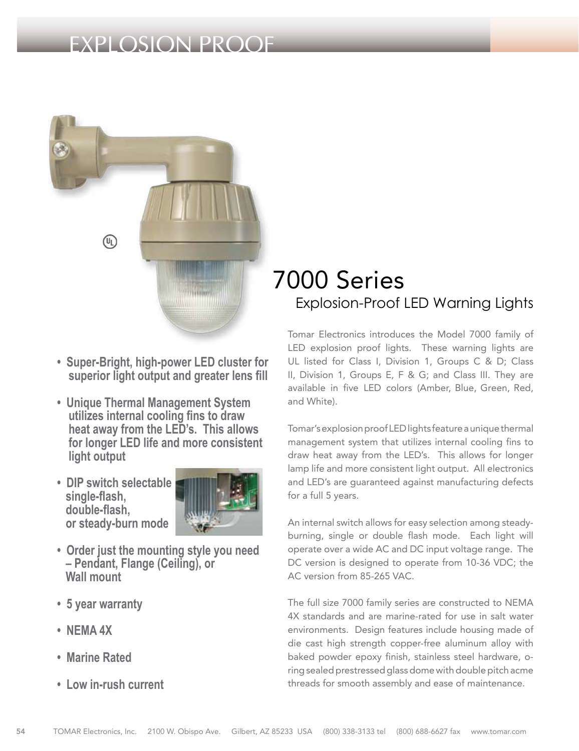## EXPLOSION PROOF



- **Super-Bright, high-power LED cluster for superior light output and greater lens fill**
- **Unique Thermal Management System utilizes internal cooling fins to draw heat away from the LED's. This allows for longer LED life and more consistent light output**
- **DIP switch selectable single-flash, double-flash, or steady-burn mode**



- **Order just the mounting style you need – Pendant, Flange (Ceiling), or Wall mount**
- **5 year warranty**
- **NEMA 4X**
- **Marine Rated**
- **Low in-rush current**

# 7000 Series Explosion-Proof LED Warning Lights

Tomar Electronics introduces the Model 7000 family of LED explosion proof lights. These warning lights are UL listed for Class I, Division 1, Groups C & D; Class II, Division 1, Groups E, F & G; and Class III. They are available in five LED colors (Amber, Blue, Green, Red, and White).

Tomar's explosion proof LED lights feature a unique thermal management system that utilizes internal cooling fins to draw heat away from the LED's. This allows for longer lamp life and more consistent light output. All electronics and LED's are guaranteed against manufacturing defects for a full 5 years.

An internal switch allows for easy selection among steadyburning, single or double flash mode. Each light will operate over a wide AC and DC input voltage range. The DC version is designed to operate from 10-36 VDC; the AC version from 85-265 VAC.

The full size 7000 family series are constructed to NEMA 4X standards and are marine-rated for use in salt water environments. Design features include housing made of die cast high strength copper-free aluminum alloy with baked powder epoxy finish, stainless steel hardware, oring sealed prestressed glass dome with double pitch acme threads for smooth assembly and ease of maintenance.